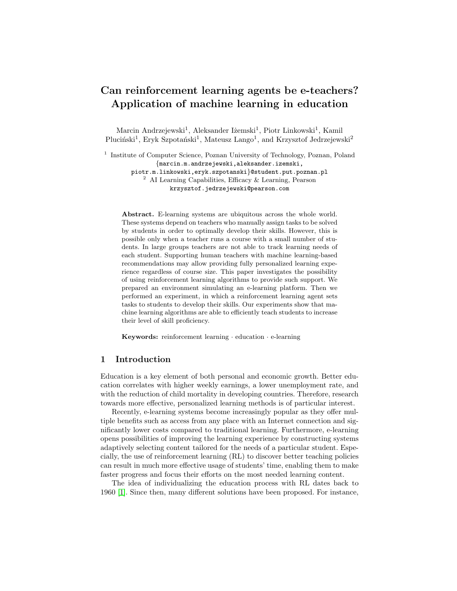# Can reinforcement learning agents be e-teachers? Application of machine learning in education

Marcin Andrzejewski<sup>1</sup>, Aleksander Iżemski<sup>1</sup>, Piotr Linkowski<sup>1</sup>, Kamil Pluciński<sup>1</sup>, Eryk Szpotański<sup>1</sup>, Mateusz Lango<sup>1</sup>, and Krzysztof Jedrzejewski<sup>2</sup>

<sup>1</sup> Institute of Computer Science, Poznan University of Technology, Poznan, Poland {marcin.m.andrzejewski,aleksander.izemski, piotr.m.linkowski,eryk.szpotanski}@student.put.poznan.pl <sup>2</sup> AI Learning Capabilities, Efficacy & Learning, Pearson krzysztof.jedrzejewski@pearson.com

Abstract. E-learning systems are ubiquitous across the whole world. These systems depend on teachers who manually assign tasks to be solved by students in order to optimally develop their skills. However, this is possible only when a teacher runs a course with a small number of students. In large groups teachers are not able to track learning needs of each student. Supporting human teachers with machine learning-based recommendations may allow providing fully personalized learning experience regardless of course size. This paper investigates the possibility of using reinforcement learning algorithms to provide such support. We prepared an environment simulating an e-learning platform. Then we performed an experiment, in which a reinforcement learning agent sets tasks to students to develop their skills. Our experiments show that machine learning algorithms are able to efficiently teach students to increase their level of skill proficiency.

Keywords: reinforcement learning · education · e-learning

## 1 Introduction

Education is a key element of both personal and economic growth. Better education correlates with higher weekly earnings, a lower unemployment rate, and with the reduction of child mortality in developing countries. Therefore, research towards more effective, personalized learning methods is of particular interest.

Recently, e-learning systems become increasingly popular as they offer multiple benefits such as access from any place with an Internet connection and significantly lower costs compared to traditional learning. Furthermore, e-learning opens possibilities of improving the learning experience by constructing systems adaptively selecting content tailored for the needs of a particular student. Especially, the use of reinforcement learning (RL) to discover better teaching policies can result in much more effective usage of students' time, enabling them to make faster progress and focus their efforts on the most needed learning content.

The idea of individualizing the education process with RL dates back to 1960 [\[1\]](#page-3-0). Since then, many different solutions have been proposed. For instance,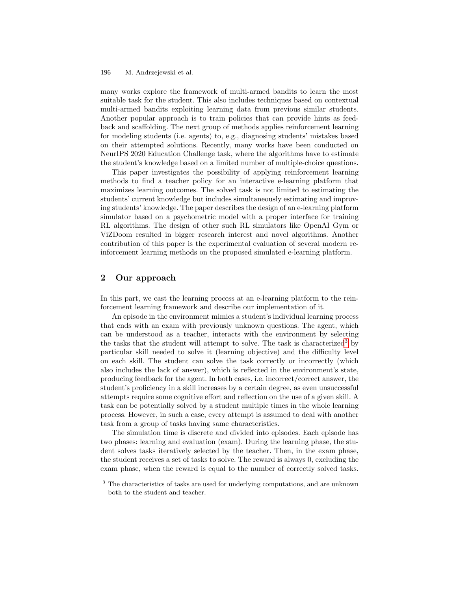#### M. Andrzejewski et al. 196

many works explore the framework of multi-armed bandits to learn the most suitable task for the student. This also includes techniques based on contextual multi-armed bandits exploiting learning data from previous similar students. Another popular approach is to train policies that can provide hints as feedback and scaffolding. The next group of methods applies reinforcement learning for modeling students (i.e. agents) to, e.g., diagnosing students' mistakes based on their attempted solutions. Recently, many works have been conducted on NeurIPS 2020 Education Challenge task, where the algorithms have to estimate the student's knowledge based on a limited number of multiple-choice questions.

This paper investigates the possibility of applying reinforcement learning methods to find a teacher policy for an interactive e-learning platform that maximizes learning outcomes. The solved task is not limited to estimating the students' current knowledge but includes simultaneously estimating and improving students' knowledge. The paper describes the design of an e-learning platform simulator based on a psychometric model with a proper interface for training RL algorithms. The design of other such RL simulators like OpenAI Gym or ViZDoom resulted in bigger research interest and novel algorithms. Another contribution of this paper is the experimental evaluation of several modern reinforcement learning methods on the proposed simulated e-learning platform.

# 2 Our approach

In this part, we cast the learning process at an e-learning platform to the reinforcement learning framework and describe our implementation of it.

An episode in the environment mimics a student's individual learning process that ends with an exam with previously unknown questions. The agent, which can be understood as a teacher, interacts with the environment by selecting the tasks that the student will attempt to solve. The task is characterized<sup>[3](#page-1-0)</sup> by particular skill needed to solve it (learning objective) and the difficulty level on each skill. The student can solve the task correctly or incorrectly (which also includes the lack of answer), which is reflected in the environment's state, producing feedback for the agent. In both cases, i.e. incorrect/correct answer, the student's proficiency in a skill increases by a certain degree, as even unsuccessful attempts require some cognitive effort and reflection on the use of a given skill. A task can be potentially solved by a student multiple times in the whole learning process. However, in such a case, every attempt is assumed to deal with another task from a group of tasks having same characteristics.

The simulation time is discrete and divided into episodes. Each episode has two phases: learning and evaluation (exam). During the learning phase, the student solves tasks iteratively selected by the teacher. Then, in the exam phase, the student receives a set of tasks to solve. The reward is always 0, excluding the exam phase, when the reward is equal to the number of correctly solved tasks.

<span id="page-1-0"></span><sup>&</sup>lt;sup>3</sup> The characteristics of tasks are used for underlying computations, and are unknown both to the student and teacher.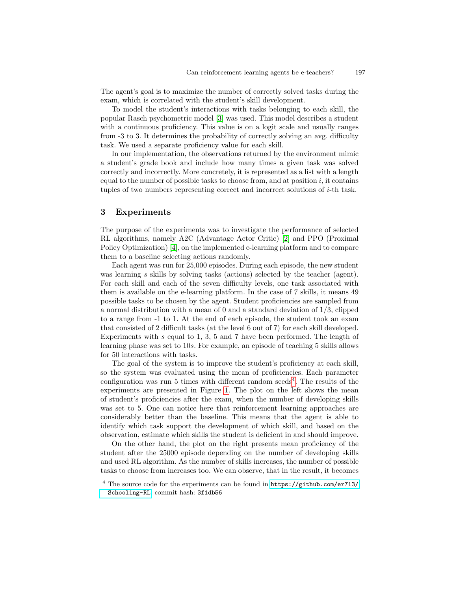The agent's goal is to maximize the number of correctly solved tasks during the exam, which is correlated with the student's skill development.

To model the student's interactions with tasks belonging to each skill, the popular Rasch psychometric model [\[3\]](#page-3-1) was used. This model describes a student with a continuous proficiency. This value is on a logit scale and usually ranges from -3 to 3. It determines the probability of correctly solving an avg. difficulty task. We used a separate proficiency value for each skill.

In our implementation, the observations returned by the environment mimic a student's grade book and include how many times a given task was solved correctly and incorrectly. More concretely, it is represented as a list with a length equal to the number of possible tasks to choose from, and at position  $i$ , it contains tuples of two numbers representing correct and incorrect solutions of i-th task.

#### 3 Experiments

The purpose of the experiments was to investigate the performance of selected RL algorithms, namely A2C (Advantage Actor Critic) [\[2\]](#page-3-2) and PPO (Proximal Policy Optimization) [\[4\]](#page-3-3), on the implemented e-learning platform and to compare them to a baseline selecting actions randomly.

Each agent was run for 25,000 episodes. During each episode, the new student was learning s skills by solving tasks (actions) selected by the teacher (agent). For each skill and each of the seven difficulty levels, one task associated with them is available on the e-learning platform. In the case of 7 skills, it means 49 possible tasks to be chosen by the agent. Student proficiencies are sampled from a normal distribution with a mean of 0 and a standard deviation of 1/3, clipped to a range from -1 to 1. At the end of each episode, the student took an exam that consisted of 2 difficult tasks (at the level 6 out of 7) for each skill developed. Experiments with s equal to 1, 3, 5 and 7 have been performed. The length of learning phase was set to 10s. For example, an episode of teaching 5 skills allows for 50 interactions with tasks.

The goal of the system is to improve the student's proficiency at each skill, so the system was evaluated using the mean of proficiencies. Each parameter configuration was run 5 times with different random seeds<sup>[4](#page-2-0)</sup>. The results of the experiments are presented in Figure [1.](#page-3-4) The plot on the left shows the mean of student's proficiencies after the exam, when the number of developing skills was set to 5. One can notice here that reinforcement learning approaches are considerably better than the baseline. This means that the agent is able to identify which task support the development of which skill, and based on the observation, estimate which skills the student is deficient in and should improve.

On the other hand, the plot on the right presents mean proficiency of the student after the 25000 episode depending on the number of developing skills and used RL algorithm. As the number of skills increases, the number of possible tasks to choose from increases too. We can observe, that in the result, it becomes

<span id="page-2-0"></span><sup>4</sup> The source code for the experiments can be found in [https://github.com/er713/](https://github.com/er713/Schooling-RL) [Schooling-RL](https://github.com/er713/Schooling-RL), commit hash: 3f1db56